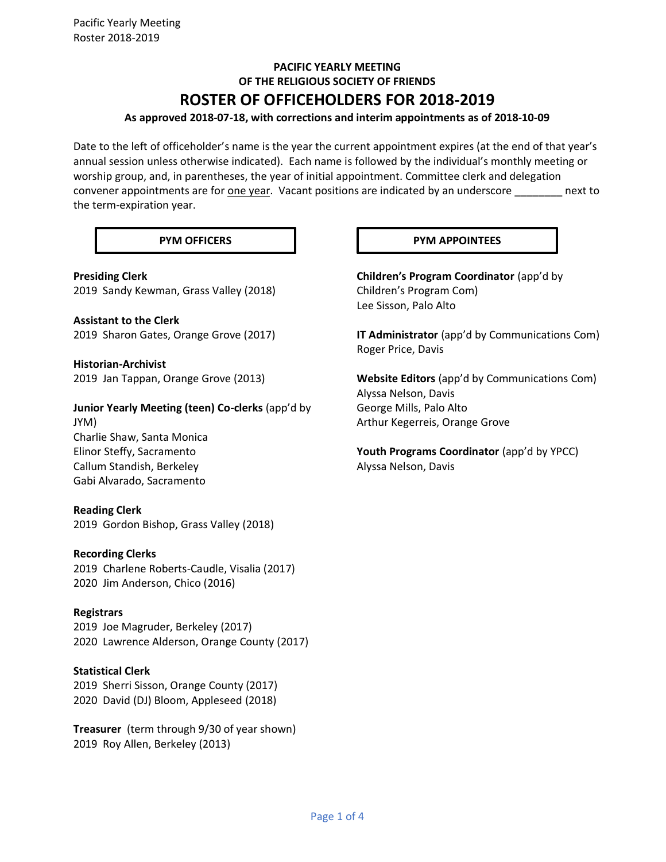# **PACIFIC YEARLY MEETING OF THE RELIGIOUS SOCIETY OF FRIENDS ROSTER OF OFFICEHOLDERS FOR 2018-2019**

# **As approved 2018-07-18, with corrections and interim appointments as of 2018-10-09**

Date to the left of officeholder's name is the year the current appointment expires (at the end of that year's annual session unless otherwise indicated). Each name is followed by the individual's monthly meeting or worship group, and, in parentheses, the year of initial appointment. Committee clerk and delegation convener appointments are for one year. Vacant positions are indicated by an underscore \_\_\_\_\_\_\_\_ next to the term-expiration year.

**Presiding Clerk** 2019 Sandy Kewman, Grass Valley (2018)

**Assistant to the Clerk** 2019 Sharon Gates, Orange Grove (2017)

**Historian-Archivist** 2019 Jan Tappan, Orange Grove (2013)

**Junior Yearly Meeting (teen) Co-clerks** (app'd by JYM) Charlie Shaw, Santa Monica Elinor Steffy, Sacramento Callum Standish, Berkeley

#### **Reading Clerk**

Gabi Alvarado, Sacramento

2019 Gordon Bishop, Grass Valley (2018)

#### **Recording Clerks**

2019 Charlene Roberts-Caudle, Visalia (2017) 2020 Jim Anderson, Chico (2016)

#### **Registrars**

2019 Joe Magruder, Berkeley (2017) 2020 Lawrence Alderson, Orange County (2017)

# **Statistical Clerk**

2019 Sherri Sisson, Orange County (2017) 2020 David (DJ) Bloom, Appleseed (2018)

**Treasurer** (term through 9/30 of year shown) 2019 Roy Allen, Berkeley (2013)

#### **PYM OFFICERS PYM APPOINTEES**

**Children's Program Coordinator** (app'd by Children's Program Com) Lee Sisson, Palo Alto

**IT Administrator** (app'd by Communications Com) Roger Price, Davis

**Website Editors** (app'd by Communications Com) Alyssa Nelson, Davis George Mills, Palo Alto Arthur Kegerreis, Orange Grove

Youth Programs Coordinator (app'd by YPCC) Alyssa Nelson, Davis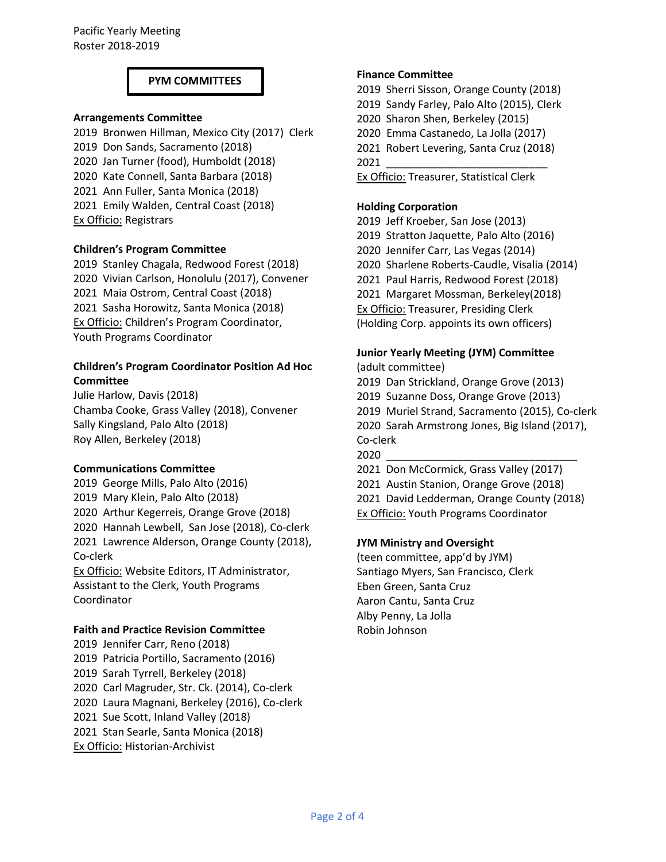#### **PYM COMMITTEES**

#### **Arrangements Committee**

2019 Bronwen Hillman, Mexico City (2017) Clerk 2019 Don Sands, Sacramento (2018) 2020 Jan Turner (food), Humboldt (2018) 2020 Kate Connell, Santa Barbara (2018) 2021 Ann Fuller, Santa Monica (2018) 2021 Emily Walden, Central Coast (2018) Ex Officio: Registrars

#### **Children's Program Committee**

2019 Stanley Chagala, Redwood Forest (2018) 2020 Vivian Carlson, Honolulu (2017), Convener 2021 Maia Ostrom, Central Coast (2018) 2021 Sasha Horowitz, Santa Monica (2018) **Ex Officio: Children's Program Coordinator,** Youth Programs Coordinator

# **Children's Program Coordinator Position Ad Hoc Committee**

Julie Harlow, Davis (2018) Chamba Cooke, Grass Valley (2018), Convener Sally Kingsland, Palo Alto (2018) Roy Allen, Berkeley (2018)

#### **Communications Committee**

2019 George Mills, Palo Alto (2016) 2019 Mary Klein, Palo Alto (2018) 2020 Arthur Kegerreis, Orange Grove (2018) 2020 Hannah Lewbell, San Jose (2018), Co-clerk 2021 Lawrence Alderson, Orange County (2018), Co-clerk

Ex Officio: Website Editors, IT Administrator, Assistant to the Clerk, Youth Programs Coordinator

#### **Faith and Practice Revision Committee**

2019 Jennifer Carr, Reno (2018) 2019 Patricia Portillo, Sacramento (2016) 2019 Sarah Tyrrell, Berkeley (2018) 2020 Carl Magruder, Str. Ck. (2014), Co-clerk 2020 Laura Magnani, Berkeley (2016), Co-clerk 2021 Sue Scott, Inland Valley (2018) 2021 Stan Searle, Santa Monica (2018) Ex Officio: Historian-Archivist

#### **Finance Committee**

2019 Sherri Sisson, Orange County (2018) 2019 Sandy Farley, Palo Alto (2015), Clerk 2020 Sharon Shen, Berkeley (2015) 2020 Emma Castanedo, La Jolla (2017) 2021 Robert Levering, Santa Cruz (2018) 2021 \_\_\_\_\_\_\_\_\_\_\_\_\_\_\_\_\_\_\_\_\_\_\_\_\_\_\_

Ex Officio: Treasurer, Statistical Clerk

# **Holding Corporation**

2019 Jeff Kroeber, San Jose (2013) 2019 Stratton Jaquette, Palo Alto (2016) 2020 Jennifer Carr, Las Vegas (2014) 2020 Sharlene Roberts-Caudle, Visalia (2014) 2021 Paul Harris, Redwood Forest (2018) 2021 Margaret Mossman, Berkeley(2018) Ex Officio: Treasurer, Presiding Clerk (Holding Corp. appoints its own officers)

#### **Junior Yearly Meeting (JYM) Committee** (adult committee)

2019 Dan Strickland, Orange Grove (2013) 2019 Suzanne Doss, Orange Grove (2013) 2019 Muriel Strand, Sacramento (2015), Co-clerk 2020 Sarah Armstrong Jones, Big Island (2017), Co-clerk 2020 \_\_\_\_\_\_\_\_\_\_\_\_\_\_\_\_\_\_\_\_\_\_\_\_\_\_\_\_\_\_\_\_

2021 Don McCormick, Grass Valley (2017) 2021 Austin Stanion, Orange Grove (2018) 2021 David Ledderman, Orange County (2018) Ex Officio: Youth Programs Coordinator

#### **JYM Ministry and Oversight**

(teen committee, app'd by JYM) Santiago Myers, San Francisco, Clerk Eben Green, Santa Cruz Aaron Cantu, Santa Cruz Alby Penny, La Jolla Robin Johnson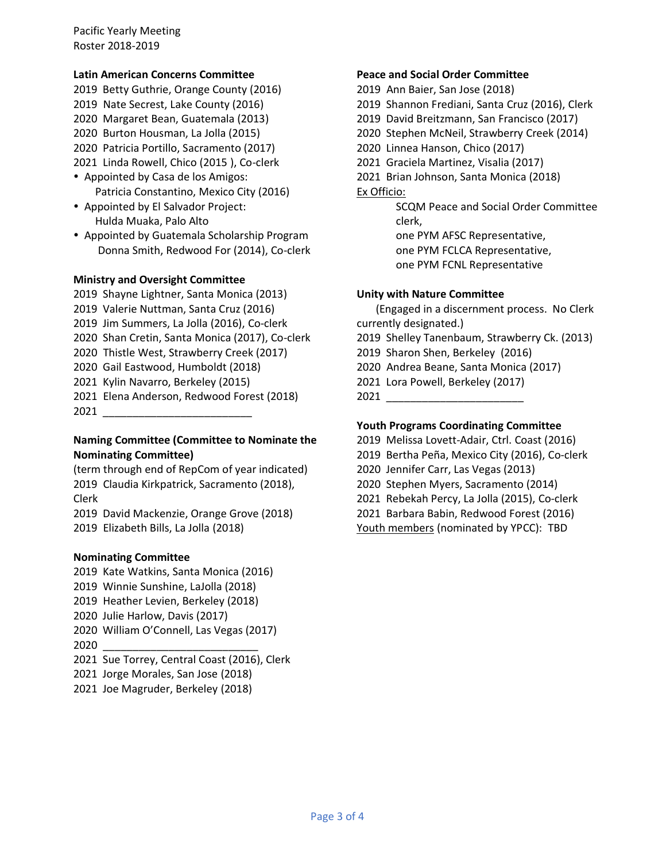Pacific Yearly Meeting Roster 2018-2019

#### **Latin American Concerns Committee**

2019 Betty Guthrie, Orange County (2016) 2019 Nate Secrest, Lake County (2016) 2020 Margaret Bean, Guatemala (2013) 2020 Burton Housman, La Jolla (2015) 2020 Patricia Portillo, Sacramento (2017) 2021 Linda Rowell, Chico (2015 ), Co-clerk

- Appointed by Casa de los Amigos: Patricia Constantino, Mexico City (2016)
- Appointed by El Salvador Project: Hulda Muaka, Palo Alto
- Appointed by Guatemala Scholarship Program Donna Smith, Redwood For (2014), Co-clerk

#### **Ministry and Oversight Committee**

- 2019 Shayne Lightner, Santa Monica (2013) 2019 Valerie Nuttman, Santa Cruz (2016) 2019 Jim Summers, La Jolla (2016), Co-clerk
- 2020 Shan Cretin, Santa Monica (2017), Co-clerk
- 2020 Thistle West, Strawberry Creek (2017)
- 2020 Gail Eastwood, Humboldt (2018)
- 2021 Kylin Navarro, Berkeley (2015)
- 2021 Elena Anderson, Redwood Forest (2018) 2021 \_\_\_\_\_\_\_\_\_\_\_\_\_\_\_\_\_\_\_\_\_\_\_\_\_

# **Naming Committee (Committee to Nominate the Nominating Committee)**

(term through end of RepCom of year indicated) 2019 Claudia Kirkpatrick, Sacramento (2018), Clerk

2019 David Mackenzie, Orange Grove (2018) 2019 Elizabeth Bills, La Jolla (2018)

#### **Nominating Committee**

- 2019 Kate Watkins, Santa Monica (2016) 2019 Winnie Sunshine, LaJolla (2018) 2019 Heather Levien, Berkeley (2018)
- 2020 Julie Harlow, Davis (2017)
- 2020 William O'Connell, Las Vegas (2017) 2020 \_\_\_\_\_\_\_\_\_\_\_\_\_\_\_\_\_\_\_\_\_\_\_\_\_\_
- 2021 Sue Torrey, Central Coast (2016), Clerk
- 2021 Jorge Morales, San Jose (2018)
- 2021 Joe Magruder, Berkeley (2018)

#### **Peace and Social Order Committee**

- 2019 Ann Baier, San Jose (2018)
- 2019 Shannon Frediani, Santa Cruz (2016), Clerk
- 2019 David Breitzmann, San Francisco (2017)
- 2020 Stephen McNeil, Strawberry Creek (2014)
- 2020 Linnea Hanson, Chico (2017)
- 2021 Graciela Martinez, Visalia (2017)
- 2021 Brian Johnson, Santa Monica (2018)

Ex Officio:

SCQM Peace and Social Order Committee clerk,

one PYM AFSC Representative,

- one PYM FCLCA Representative,
- one PYM FCNL Representative

#### **Unity with Nature Committee**

 (Engaged in a discernment process. No Clerk currently designated.)

2019 Shelley Tanenbaum, Strawberry Ck. (2013)

- 2019 Sharon Shen, Berkeley (2016)
- 2020 Andrea Beane, Santa Monica (2017)
- 2021 Lora Powell, Berkeley (2017)

2021 \_\_\_\_\_\_\_\_\_\_\_\_\_\_\_\_\_\_\_\_\_\_\_

# **Youth Programs Coordinating Committee**

- 2019 Melissa Lovett-Adair, Ctrl. Coast (2016)
- 2019 Bertha Peña, Mexico City (2016), Co-clerk
- 2020 Jennifer Carr, Las Vegas (2013)
- 2020 Stephen Myers, Sacramento (2014)
- 2021 Rebekah Percy, La Jolla (2015), Co-clerk
- 2021 Barbara Babin, Redwood Forest (2016)
- Youth members (nominated by YPCC): TBD